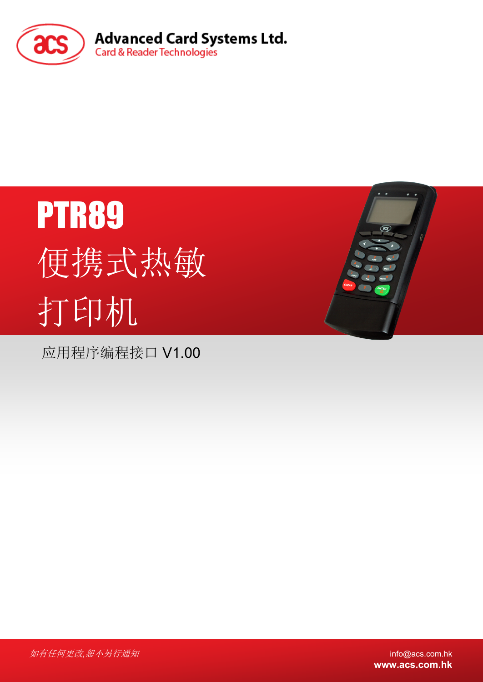

# PTR89 便携式热敏 打印机

应用程序编程接口 V1.00



**www.acs.com.hk**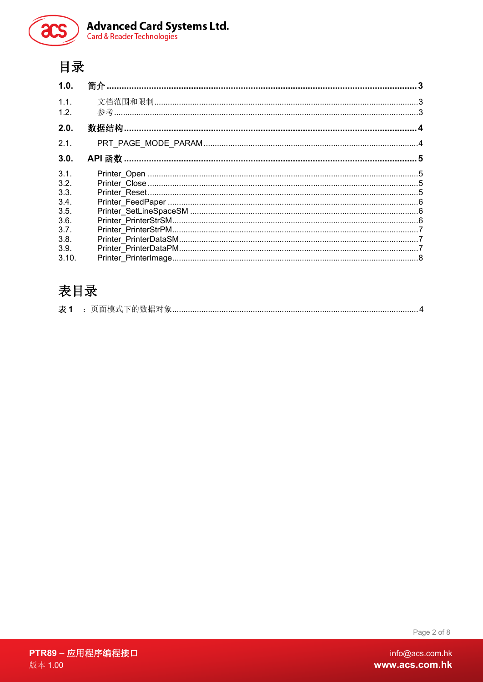

# 目录

| 1.0.  |  |
|-------|--|
| 1.1.  |  |
| 1.2.  |  |
| 2.0.  |  |
| 2.1.  |  |
| 3.0.  |  |
| 3.1.  |  |
| 3.2.  |  |
| 3.3.  |  |
| 3.4.  |  |
| 3.5.  |  |
| 3.6.  |  |
| 3.7.  |  |
| 3.8.  |  |
| 3.9.  |  |
| 3.10. |  |

# 表目录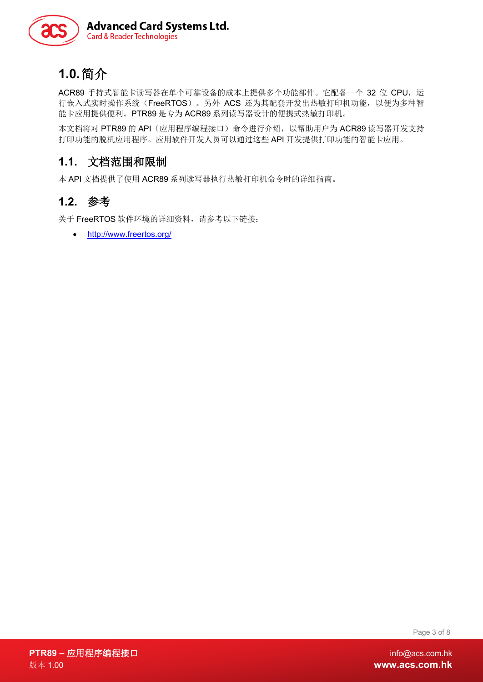

# <span id="page-2-0"></span>**1.0.**简介

ACR89 手持式智能卡读写器在单个可靠设备的成本上提供多个功能部件。它配备一个 32 位 CPU, 运 行嵌入式实时操作系统(FreeRTOS)。另外 ACS 还为其配套开发出热敏打印机功能,以便为多种智 能卡应用提供便利。PTR89 是专为 ACR89 系列读写器设计的便携式热敏打印机。

本文档将对 PTR89 的 API (应用程序编程接口) 命令进行介绍, 以帮助用户为 ACR89 读写器开发支持 打印功能的脱机应用程序。应用软件开发人员可以通过这些 API 开发提供打印功能的智能卡应用。

## <span id="page-2-1"></span>**1.1.** 文档范围和限制

本 API 文档提供了使用 ACR89 系列读写器执行热敏打印机命令时的详细指南。

### <span id="page-2-2"></span>**1.2.** 参考

关于 FreeRTOS 软件环境的详细资料,请参考以下链接:

• <http://www.freertos.org/>

Page 3 of 8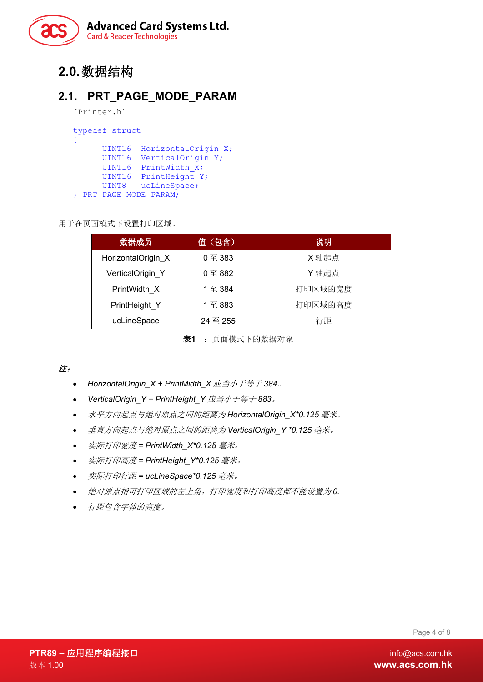

# <span id="page-3-0"></span>**2.0.**数据结构

### <span id="page-3-1"></span>**2.1. PRT\_PAGE\_MODE\_PARAM**

```
[Printer.h]
```

```
typedef struct
{
     UINT16 HorizontalOrigin X;
     UINT16 VerticalOrigin Y;
     UINT16 PrintWidth X;
     UINT16 PrintHeight Y;
     UINT8 ucLineSpace;
} PRT_PAGE_MODE_PARAM;
```
用于在页面模式下设置打印区域。

| 数据成员               | 值(包含)      | 说明      |
|--------------------|------------|---------|
| HorizontalOrigin_X | $0 $ 至 383 | X 轴起点   |
| VerticalOrigin Y   | $0 $ 至 882 | Y轴起点    |
| PrintWidth X       | 1至 384     | 打印区域的宽度 |
| PrintHeight Y      | 1至883      | 打印区域的高度 |
| ucLineSpace        | 24 至 255   | 行距      |

表**1** :页面模式下的数据对象

#### <span id="page-3-2"></span>注:

- *HorizontalOrigin\_X + PrintMidth\_X* 应当小于等于 *384*。
- *VerticalOrigin\_Y + PrintHeight\_Y* 应当小于等于 *883*。
- 水平方向起点与绝对原点之间的距离为 *HorizontalOrigin\_X\*0.125* 毫米。
- 垂直方向起点与绝对原点之间的距离为 *VerticalOrigin\_Y \*0.125* 毫米。
- 实际打印宽度 *= PrintWidth\_X\*0.125* 毫米。
- 实际打印高度 *= PrintHeight\_Y\*0.125* 毫米。
- 实际打印行距 *= ucLineSpace\*0.125* 毫米。
- 绝对原点指可打印区域的左上角,打印宽度和打印高度都不能设置为 *0.*
- 行距包含字体的高度。

Page 4 of 8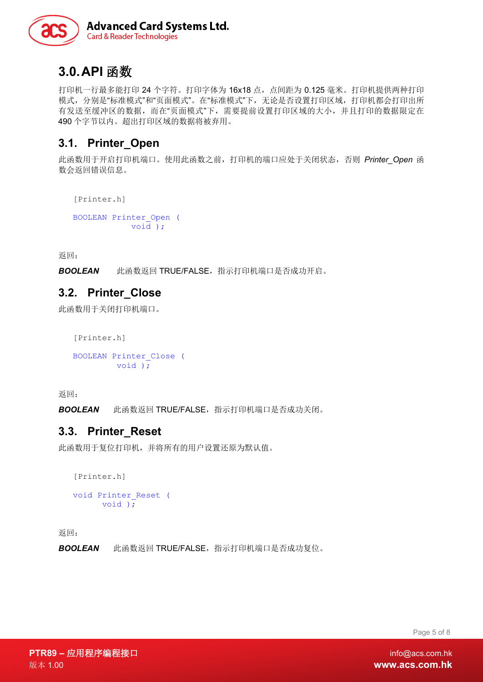

## <span id="page-4-0"></span>**3.0.API** 函数

打印机一行最多能打印 24 个字符。打印字体为 16x18 点, 点间距为 0.125 毫米。打印机提供两种打印 模式,分别是"标准模式"和"页面模式"。在"标准模式"下,无论是否设置打印区域,打印机都会打印出所 有发送至缓冲区的数据,而在"页面模式"下,需要提前设置打印区域的大小,并且打印的数据限定在 490 个字节以内。超出打印区域的数据将被弃用。

#### <span id="page-4-1"></span>**3.1. Printer\_Open**

此函数用于开启打印机端口。使用此函数之前,打印机的端口应处于关闭状态,否则 *Printer\_Open* 函 数会返回错误信息。

[Printer.h]

```
BOOLEAN Printer_Open (
           void );
```
返回:

*BOOLEAN* 此函数返回 TRUE/FALSE,指示打印机端口是否成功开启。

#### <span id="page-4-2"></span>**3.2. Printer\_Close**

此函数用于关闭打印机端口。

```
[Printer.h]
BOOLEAN Printer_Close (
         void );
```
返回:

*BOOLEAN* 此函数返回 TRUE/FALSE,指示打印机端口是否成功关闭。

#### <span id="page-4-3"></span>**3.3. Printer\_Reset**

此函数用于复位打印机,并将所有的用户设置还原为默认值。

```
[Printer.h]
void Printer_Reset (
      void );
```
返回:

*BOOLEAN* 此函数返回 TRUE/FALSE,指示打印机端口是否成功复位。

Page 5 of 8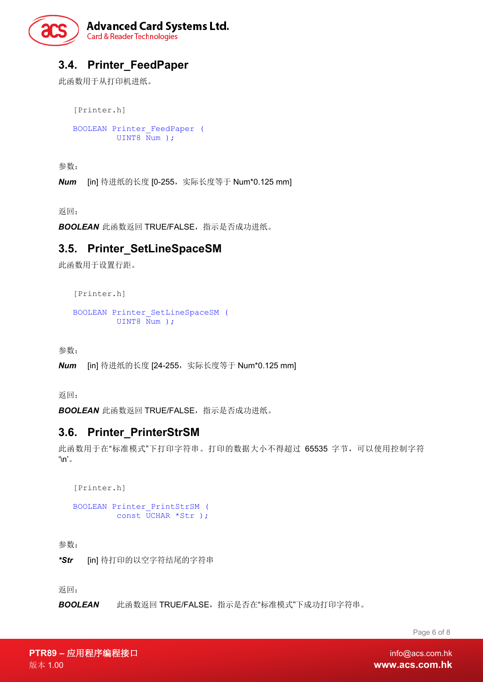

## <span id="page-5-0"></span>**3.4. Printer\_FeedPaper**

此函数用于从打印机进纸。

[Printer.h] BOOLEAN Printer\_FeedPaper ( UINT8 Num );

参数:

*Num* [in] 待进纸的长度 [0-255,实际长度等于 Num\*0.125 mm]

返回:

*BOOLEAN* 此函数返回 TRUE/FALSE,指示是否成功进纸。

#### <span id="page-5-1"></span>**3.5. Printer\_SetLineSpaceSM**

此函数用于设置行距。

[Printer.h]

```
BOOLEAN Printer_SetLineSpaceSM (
        UINT8 Num ) ;
```
参数:

**Num** [in] 待进纸的长度 [24-255,实际长度等于 Num\*0.125 mm]

返回:

*BOOLEAN* 此函数返回 TRUE/FALSE,指示是否成功进纸。

#### <span id="page-5-2"></span>**3.6. Printer\_PrinterStrSM**

此函数用于在"标准模式"下打印字符串。打印的数据大小不得超过 65535 字节,可以使用控制字符  $\ln$ <sup>'</sup>

```
[Printer.h]
BOOLEAN Printer_PrintStrSM (
        const UCHAR *Str );
```
参数:

*\*Str* [in] 待打印的以空字符结尾的字符串

返回:

*BOOLEAN* 此函数返回 TRUE/FALSE,指示是否在"标准模式"下成功打印字符串。

Page 6 of 8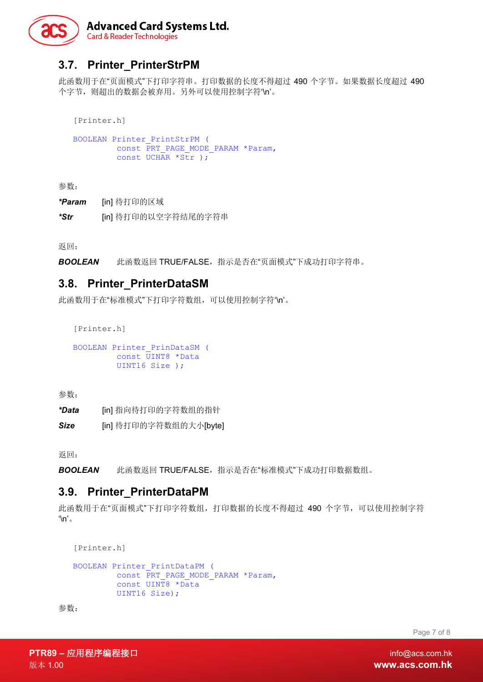

## <span id="page-6-0"></span>**3.7. Printer\_PrinterStrPM**

此函数用于在"页面模式"下打印字符串。打印数据的长度不得超过 490 个字节。如果数据长度超过 490 个字节, 则超出的数据会被弃用。另外可以使用控制字符'\n'。

[Printer.h]

```
BOOLEAN Printer_PrintStrPM (
          const PRT PAGE MODE PARAM *Param,
          const UCHAR *\overline{\text{str}});
```
参数:

*\*Param* [in] 待打印的区域

*\*Str* [in] 待打印的以空字符结尾的字符串

返回:

*BOOLEAN* 此函数返回 TRUE/FALSE,指示是否在"页面模式"下成功打印字符串。

#### <span id="page-6-1"></span>**3.8. Printer\_PrinterDataSM**

此函数用于在"标准模式"下打印字符数组,可以使用控制字符'\n'。

[Printer.h]

```
BOOLEAN Printer_PrinDataSM (
        const UINT8 *Data
        UINT16 Size );
```
参数:

*\*Data* [in] 指向待打印的字符数组的指针

*Size* [in] 待打印的字符数组的大小[byte]

返回:

*BOOLEAN* 此函数返回 TRUE/FALSE,指示是否在"标准模式"下成功打印数据数组。

#### <span id="page-6-2"></span>**3.9. Printer\_PrinterDataPM**

此函数用于在"页面模式"下打印字符数组,打印数据的长度不得超过 490 个字节,可以使用控制字符  $\ln$ <sup>'</sup>

```
[Printer.h]
```

```
BOOLEAN Printer_PrintDataPM (
        const PRT_PAGE_MODE_PARAM *Param,
         const UINT8 *Data 
         UINT16 Size);
```
参数:

Page 7 of 8